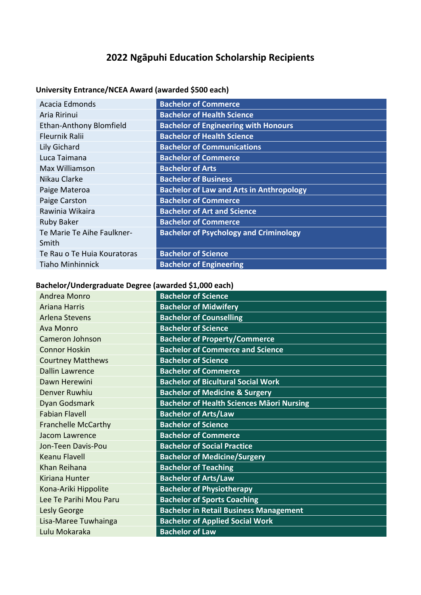# **2022 Ngāpuhi Education Scholarship Recipients**

## **University Entrance/NCEA Award (awarded \$500 each)**

| Acacia Edmonds                 | <b>Bachelor of Commerce</b>                     |
|--------------------------------|-------------------------------------------------|
| Aria Ririnui                   | <b>Bachelor of Health Science</b>               |
| <b>Ethan-Anthony Blomfield</b> | <b>Bachelor of Engineering with Honours</b>     |
| <b>Fleurnik Ralii</b>          | <b>Bachelor of Health Science</b>               |
| Lily Gichard                   | <b>Bachelor of Communications</b>               |
| Luca Taimana                   | <b>Bachelor of Commerce</b>                     |
| Max Williamson                 | <b>Bachelor of Arts</b>                         |
| Nikau Clarke                   | <b>Bachelor of Business</b>                     |
| Paige Materoa                  | <b>Bachelor of Law and Arts in Anthropology</b> |
| Paige Carston                  | <b>Bachelor of Commerce</b>                     |
| Rawinia Wikaira                | <b>Bachelor of Art and Science</b>              |
| <b>Ruby Baker</b>              | <b>Bachelor of Commerce</b>                     |
| Te Marie Te Aihe Faulkner-     | <b>Bachelor of Psychology and Criminology</b>   |
| Smith                          |                                                 |
| Te Rau o Te Huia Kouratoras    | <b>Bachelor of Science</b>                      |
| <b>Tiaho Minhinnick</b>        | <b>Bachelor of Engineering</b>                  |
|                                |                                                 |

#### **Bachelor/Undergraduate Degree (awarded \$1,000 each)**

| Andrea Monro               | <b>Bachelor of Science</b>                       |
|----------------------------|--------------------------------------------------|
| <b>Ariana Harris</b>       | <b>Bachelor of Midwifery</b>                     |
| <b>Arlena Stevens</b>      | <b>Bachelor of Counselling</b>                   |
| Ava Monro                  | <b>Bachelor of Science</b>                       |
| Cameron Johnson            | <b>Bachelor of Property/Commerce</b>             |
| <b>Connor Hoskin</b>       | <b>Bachelor of Commerce and Science</b>          |
| <b>Courtney Matthews</b>   | <b>Bachelor of Science</b>                       |
| <b>Dallin Lawrence</b>     | <b>Bachelor of Commerce</b>                      |
| Dawn Herewini              | <b>Bachelor of Bicultural Social Work</b>        |
| <b>Denver Ruwhiu</b>       | <b>Bachelor of Medicine &amp; Surgery</b>        |
| Dyan Godsmark              | <b>Bachelor of Health Sciences Maori Nursing</b> |
| <b>Fabian Flavell</b>      | <b>Bachelor of Arts/Law</b>                      |
| <b>Franchelle McCarthy</b> | <b>Bachelor of Science</b>                       |
| <b>Jacom Lawrence</b>      | <b>Bachelor of Commerce</b>                      |
| Jon-Teen Davis-Pou         | <b>Bachelor of Social Practice</b>               |
| Keanu Flavell              | <b>Bachelor of Medicine/Surgery</b>              |
| Khan Reihana               | <b>Bachelor of Teaching</b>                      |
| Kiriana Hunter             | <b>Bachelor of Arts/Law</b>                      |
| Kona-Ariki Hippolite       | <b>Bachelor of Physiotherapy</b>                 |
| Lee Te Parihi Mou Paru     | <b>Bachelor of Sports Coaching</b>               |
| Lesly George               | <b>Bachelor in Retail Business Management</b>    |
| Lisa-Maree Tuwhainga       | <b>Bachelor of Applied Social Work</b>           |
| Lulu Mokaraka              | <b>Bachelor of Law</b>                           |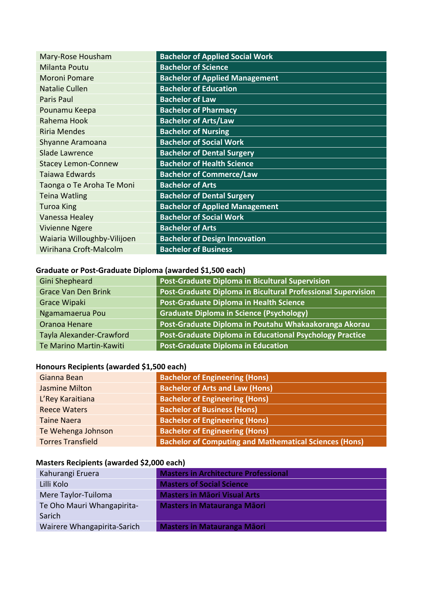| <b>Bachelor of Applied Social Work</b> |
|----------------------------------------|
| <b>Bachelor of Science</b>             |
| <b>Bachelor of Applied Management</b>  |
| <b>Bachelor of Education</b>           |
| <b>Bachelor of Law</b>                 |
| <b>Bachelor of Pharmacy</b>            |
| <b>Bachelor of Arts/Law</b>            |
| <b>Bachelor of Nursing</b>             |
| <b>Bachelor of Social Work</b>         |
| <b>Bachelor of Dental Surgery</b>      |
| <b>Bachelor of Health Science</b>      |
| <b>Bachelor of Commerce/Law</b>        |
| <b>Bachelor of Arts</b>                |
| <b>Bachelor of Dental Surgery</b>      |
| <b>Bachelor of Applied Management</b>  |
| <b>Bachelor of Social Work</b>         |
| <b>Bachelor of Arts</b>                |
| <b>Bachelor of Design Innovation</b>   |
| <b>Bachelor of Business</b>            |
|                                        |

### **Graduate or Post-Graduate Diploma (awarded \$1,500 each)**

| Gini Shepheard             | Post-Graduate Diploma in Bicultural Supervision              |
|----------------------------|--------------------------------------------------------------|
| <b>Grace Van Den Brink</b> | Post-Graduate Diploma in Bicultural Professional Supervision |
| <b>Grace Wipaki</b>        | Post-Graduate Diploma in Health Science                      |
| Ngamamaerua Pou            | <b>Graduate Diploma in Science (Psychology)</b>              |
| Oranoa Henare              | Post-Graduate Diploma in Poutahu Whakaakoranga Akorau        |
| Tayla Alexander-Crawford   | Post-Graduate Diploma in Educational Psychology Practice     |
| Te Marino Martin-Kawiti    | <b>Post-Graduate Diploma in Education</b>                    |

#### **Honours Recipients (awarded \$1,500 each)**

| Gianna Bean              | <b>Bachelor of Engineering (Hons)</b>                         |
|--------------------------|---------------------------------------------------------------|
| Jasmine Milton           | <b>Bachelor of Arts and Law (Hons)</b>                        |
| L'Rey Karaitiana         | <b>Bachelor of Engineering (Hons)</b>                         |
| <b>Reece Waters</b>      | <b>Bachelor of Business (Hons)</b>                            |
| <b>Taine Naera</b>       | <b>Bachelor of Engineering (Hons)</b>                         |
| Te Wehenga Johnson       | <b>Bachelor of Engineering (Hons)</b>                         |
| <b>Torres Transfield</b> | <b>Bachelor of Computing and Mathematical Sciences (Hons)</b> |

### **Masters Recipients (awarded \$2,000 each)**

| Kahurangi Eruera            | <b>Masters in Architecture Professional</b> |
|-----------------------------|---------------------------------------------|
| Lilli Kolo                  | <b>Masters of Social Science</b>            |
| Mere Taylor-Tuiloma         | <b>Masters in Māori Visual Arts</b>         |
| Te Oho Mauri Whangapirita-  | <b>Masters in Matauranga Māori</b>          |
| Sarich                      |                                             |
| Wairere Whangapirita-Sarich | <b>Masters in Matauranga Māori</b>          |